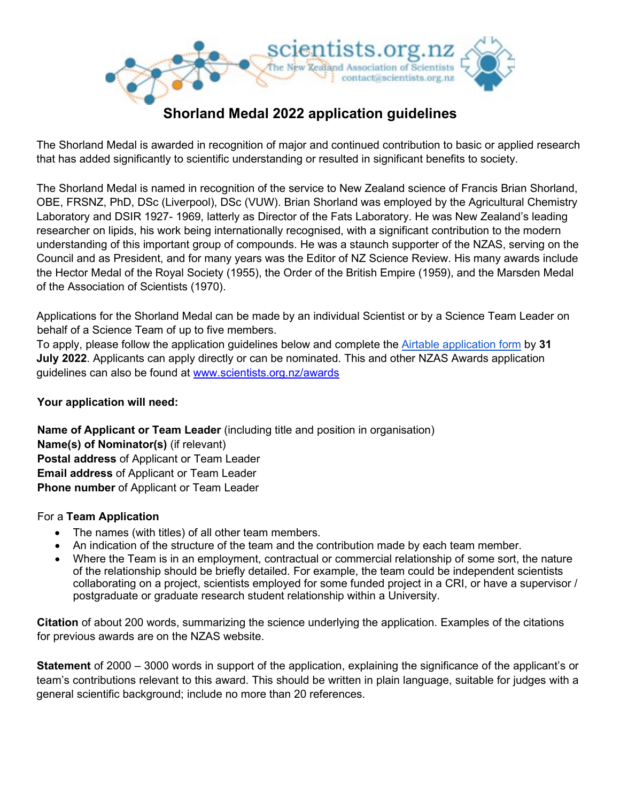

# **Shorland Medal 2022 application guidelines**

The Shorland Medal is awarded in recognition of major and continued contribution to basic or applied research that has added significantly to scientific understanding or resulted in significant benefits to society.

The Shorland Medal is named in recognition of the service to New Zealand science of Francis Brian Shorland, OBE, FRSNZ, PhD, DSc (Liverpool), DSc (VUW). Brian Shorland was employed by the Agricultural Chemistry Laboratory and DSIR 1927- 1969, latterly as Director of the Fats Laboratory. He was New Zealand's leading researcher on lipids, his work being internationally recognised, with a significant contribution to the modern understanding of this important group of compounds. He was a staunch supporter of the NZAS, serving on the Council and as President, and for many years was the Editor of NZ Science Review. His many awards include the Hector Medal of the Royal Society (1955), the Order of the British Empire (1959), and the Marsden Medal of the Association of Scientists (1970).

Applications for the Shorland Medal can be made by an individual Scientist or by a Science Team Leader on behalf of a Science Team of up to five members.

To apply, please follow the application guidelines below and complete the [Airtable application form](https://scientists.org.nz/sm_application) by **31 July 2022**. Applicants can apply directly or can be nominated. This and other NZAS Awards application guidelines can also be found at www.scientists.org.nz/awards

# **Your application will need:**

**Name of Applicant or Team Leader** (including title and position in organisation) **Name(s) of Nominator(s)** (if relevant) **Postal address** of Applicant or Team Leader **Email address** of Applicant or Team Leader **Phone number** of Applicant or Team Leader

# For a **Team Application**

- The names (with titles) of all other team members.
- An indication of the structure of the team and the contribution made by each team member.
- Where the Team is in an employment, contractual or commercial relationship of some sort, the nature of the relationship should be briefly detailed. For example, the team could be independent scientists collaborating on a project, scientists employed for some funded project in a CRI, or have a supervisor / postgraduate or graduate research student relationship within a University.

**Citation** of about 200 words, summarizing the science underlying the application. Examples of the citations for previous awards are on the NZAS website.

**Statement** of 2000 – 3000 words in support of the application, explaining the significance of the applicant's or team's contributions relevant to this award. This should be written in plain language, suitable for judges with a general scientific background; include no more than 20 references.